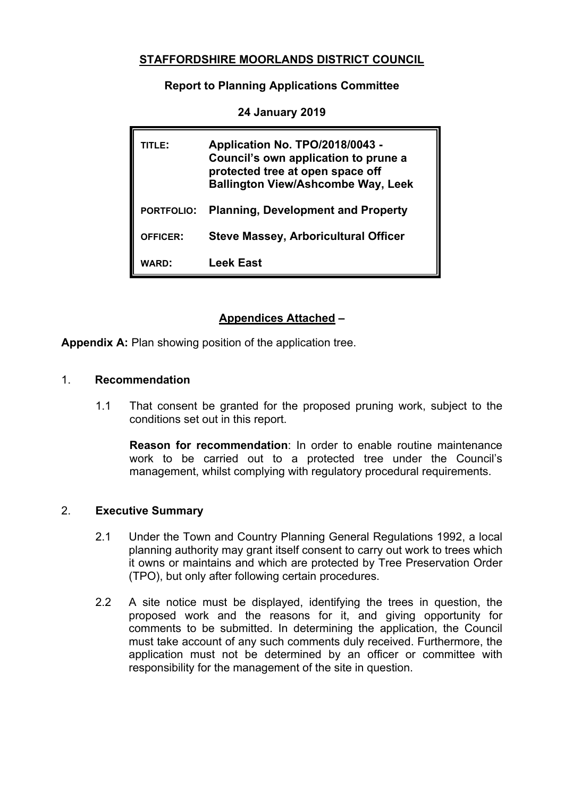## **STAFFORDSHIRE MOORLANDS DISTRICT COUNCIL**

**Report to Planning Applications Committee**

| TITLE:            | Application No. TPO/2018/0043 -<br>Council's own application to prune a<br>protected tree at open space off<br><b>Ballington View/Ashcombe Way, Leek</b> |
|-------------------|----------------------------------------------------------------------------------------------------------------------------------------------------------|
| <b>PORTFOLIO:</b> | <b>Planning, Development and Property</b>                                                                                                                |
| <b>OFFICER:</b>   | <b>Steve Massey, Arboricultural Officer</b>                                                                                                              |
| WARD:             | Leek East                                                                                                                                                |

**24 January 2019**

# **Appendices Attached –**

**Appendix A:** Plan showing position of the application tree.

#### 1. **Recommendation**

1.1 That consent be granted for the proposed pruning work, subject to the conditions set out in this report.

**Reason for recommendation**: In order to enable routine maintenance work to be carried out to a protected tree under the Council's management, whilst complying with regulatory procedural requirements.

### 2. **Executive Summary**

- 2.1 Under the Town and Country Planning General Regulations 1992, a local planning authority may grant itself consent to carry out work to trees which it owns or maintains and which are protected by Tree Preservation Order (TPO), but only after following certain procedures.
- 2.2 A site notice must be displayed, identifying the trees in question, the proposed work and the reasons for it, and giving opportunity for comments to be submitted. In determining the application, the Council must take account of any such comments duly received. Furthermore, the application must not be determined by an officer or committee with responsibility for the management of the site in question.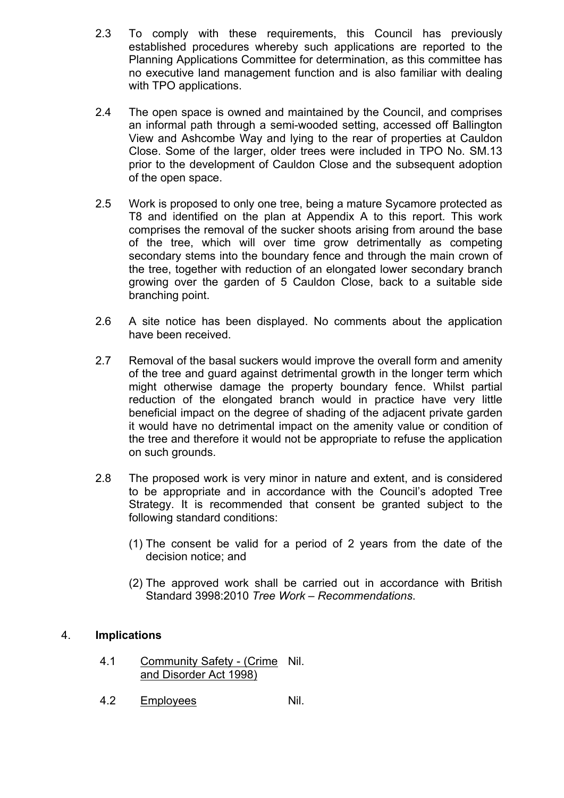- 2.3 To comply with these requirements, this Council has previously established procedures whereby such applications are reported to the Planning Applications Committee for determination, as this committee has no executive land management function and is also familiar with dealing with TPO applications.
- 2.4 The open space is owned and maintained by the Council, and comprises an informal path through a semi-wooded setting, accessed off Ballington View and Ashcombe Way and lying to the rear of properties at Cauldon Close. Some of the larger, older trees were included in TPO No. SM.13 prior to the development of Cauldon Close and the subsequent adoption of the open space.
- 2.5 Work is proposed to only one tree, being a mature Sycamore protected as T8 and identified on the plan at Appendix A to this report. This work comprises the removal of the sucker shoots arising from around the base of the tree, which will over time grow detrimentally as competing secondary stems into the boundary fence and through the main crown of the tree, together with reduction of an elongated lower secondary branch growing over the garden of 5 Cauldon Close, back to a suitable side branching point.
- 2.6 A site notice has been displayed. No comments about the application have been received.
- 2.7 Removal of the basal suckers would improve the overall form and amenity of the tree and guard against detrimental growth in the longer term which might otherwise damage the property boundary fence. Whilst partial reduction of the elongated branch would in practice have very little beneficial impact on the degree of shading of the adjacent private garden it would have no detrimental impact on the amenity value or condition of the tree and therefore it would not be appropriate to refuse the application on such grounds.
- 2.8 The proposed work is very minor in nature and extent, and is considered to be appropriate and in accordance with the Council's adopted Tree Strategy. It is recommended that consent be granted subject to the following standard conditions:
	- (1) The consent be valid for a period of 2 years from the date of the decision notice; and
	- (2) The approved work shall be carried out in accordance with British Standard 3998:2010 *Tree Work – Recommendations*.

### 4. **Implications**

- 4.1 Community Safety (Crime Nil. and Disorder Act 1998)
- 4.2 Employees Nil.